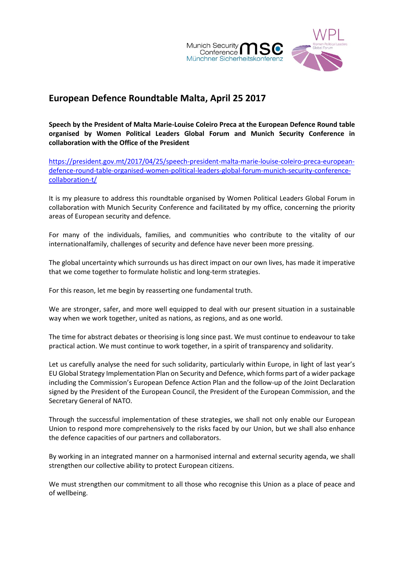

## **European Defence Roundtable Malta, April 25 2017**

**Speech by the President of Malta Marie-Louise Coleiro Preca at the European Defence Round table organised by Women Political Leaders Global Forum and Munich Security Conference in collaboration with the Office of the President**

[https://president.gov.mt/2017/04/25/speech-president-malta-marie-louise-coleiro-preca-european](https://president.gov.mt/2017/04/25/speech-president-malta-marie-louise-coleiro-preca-european-defence-round-table-organised-women-political-leaders-global-forum-munich-security-conference-collaboration-t/)[defence-round-table-organised-women-political-leaders-global-forum-munich-security-conference](https://president.gov.mt/2017/04/25/speech-president-malta-marie-louise-coleiro-preca-european-defence-round-table-organised-women-political-leaders-global-forum-munich-security-conference-collaboration-t/)[collaboration-t/](https://president.gov.mt/2017/04/25/speech-president-malta-marie-louise-coleiro-preca-european-defence-round-table-organised-women-political-leaders-global-forum-munich-security-conference-collaboration-t/)

It is my pleasure to address this roundtable organised by Women Political Leaders Global Forum in collaboration with Munich Security Conference and facilitated by my office, concerning the priority areas of European security and defence.

For many of the individuals, families, and communities who contribute to the vitality of our internationalfamily, challenges of security and defence have never been more pressing.

The global uncertainty which surrounds us has direct impact on our own lives, has made it imperative that we come together to formulate holistic and long-term strategies.

For this reason, let me begin by reasserting one fundamental truth.

We are stronger, safer, and more well equipped to deal with our present situation in a sustainable way when we work together, united as nations, as regions, and as one world.

The time for abstract debates or theorising is long since past. We must continue to endeavour to take practical action. We must continue to work together, in a spirit of transparency and solidarity.

Let us carefully analyse the need for such solidarity, particularly within Europe, in light of last year's EU Global Strategy Implementation Plan on Security and Defence, which forms part of a wider package including the Commission's European Defence Action Plan and the follow-up of the Joint Declaration signed by the President of the European Council, the President of the European Commission, and the Secretary General of NATO.

Through the successful implementation of these strategies, we shall not only enable our European Union to respond more comprehensively to the risks faced by our Union, but we shall also enhance the defence capacities of our partners and collaborators.

By working in an integrated manner on a harmonised internal and external security agenda, we shall strengthen our collective ability to protect European citizens.

We must strengthen our commitment to all those who recognise this Union as a place of peace and of wellbeing.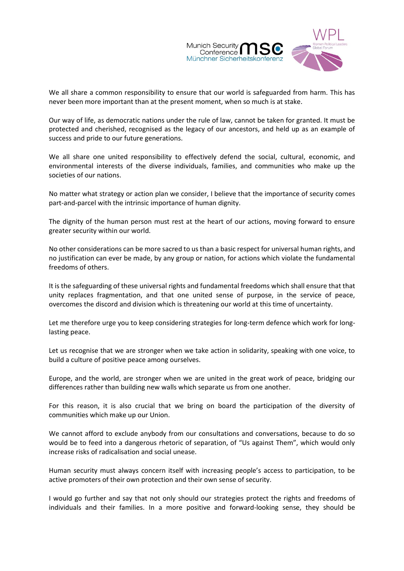

We all share a common responsibility to ensure that our world is safeguarded from harm. This has never been more important than at the present moment, when so much is at stake.

Our way of life, as democratic nations under the rule of law, cannot be taken for granted. It must be protected and cherished, recognised as the legacy of our ancestors, and held up as an example of success and pride to our future generations.

We all share one united responsibility to effectively defend the social, cultural, economic, and environmental interests of the diverse individuals, families, and communities who make up the societies of our nations.

No matter what strategy or action plan we consider, I believe that the importance of security comes part-and-parcel with the intrinsic importance of human dignity.

The dignity of the human person must rest at the heart of our actions, moving forward to ensure greater security within our world.

No other considerations can be more sacred to us than a basic respect for universal human rights, and no justification can ever be made, by any group or nation, for actions which violate the fundamental freedoms of others.

It is the safeguarding of these universal rights and fundamental freedoms which shall ensure that that unity replaces fragmentation, and that one united sense of purpose, in the service of peace, overcomes the discord and division which is threatening our world at this time of uncertainty.

Let me therefore urge you to keep considering strategies for long-term defence which work for longlasting peace.

Let us recognise that we are stronger when we take action in solidarity, speaking with one voice, to build a culture of positive peace among ourselves.

Europe, and the world, are stronger when we are united in the great work of peace, bridging our differences rather than building new walls which separate us from one another.

For this reason, it is also crucial that we bring on board the participation of the diversity of communities which make up our Union.

We cannot afford to exclude anybody from our consultations and conversations, because to do so would be to feed into a dangerous rhetoric of separation, of "Us against Them", which would only increase risks of radicalisation and social unease.

Human security must always concern itself with increasing people's access to participation, to be active promoters of their own protection and their own sense of security.

I would go further and say that not only should our strategies protect the rights and freedoms of individuals and their families. In a more positive and forward-looking sense, they should be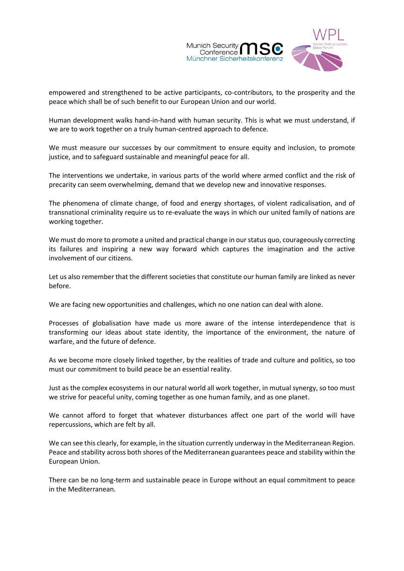

empowered and strengthened to be active participants, co-contributors, to the prosperity and the peace which shall be of such benefit to our European Union and our world.

Human development walks hand-in-hand with human security. This is what we must understand, if we are to work together on a truly human-centred approach to defence.

We must measure our successes by our commitment to ensure equity and inclusion, to promote justice, and to safeguard sustainable and meaningful peace for all.

The interventions we undertake, in various parts of the world where armed conflict and the risk of precarity can seem overwhelming, demand that we develop new and innovative responses.

The phenomena of climate change, of food and energy shortages, of violent radicalisation, and of transnational criminality require us to re-evaluate the ways in which our united family of nations are working together.

We must do more to promote a united and practical change in our status quo, courageously correcting its failures and inspiring a new way forward which captures the imagination and the active involvement of our citizens.

Let us also remember that the different societies that constitute our human family are linked as never before.

We are facing new opportunities and challenges, which no one nation can deal with alone.

Processes of globalisation have made us more aware of the intense interdependence that is transforming our ideas about state identity, the importance of the environment, the nature of warfare, and the future of defence.

As we become more closely linked together, by the realities of trade and culture and politics, so too must our commitment to build peace be an essential reality.

Just as the complex ecosystems in our natural world all work together, in mutual synergy, so too must we strive for peaceful unity, coming together as one human family, and as one planet.

We cannot afford to forget that whatever disturbances affect one part of the world will have repercussions, which are felt by all.

We can see this clearly, for example, in the situation currently underway in the Mediterranean Region. Peace and stability across both shores of the Mediterranean guarantees peace and stability within the European Union.

There can be no long-term and sustainable peace in Europe without an equal commitment to peace in the Mediterranean.